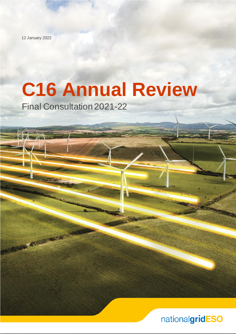12 January 2022

# **C16 Annual Review**

Final Consultation 2021-22

TRANSPORTATION OF

nationalgridESO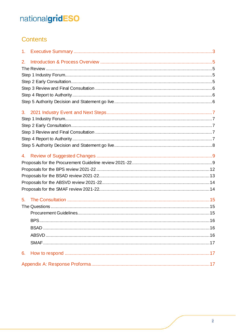# Contents

| 1.             |  |
|----------------|--|
| 2.             |  |
|                |  |
|                |  |
|                |  |
|                |  |
|                |  |
|                |  |
| 3 <sub>l</sub> |  |
|                |  |
|                |  |
|                |  |
|                |  |
|                |  |
| 4.             |  |
|                |  |
|                |  |
|                |  |
|                |  |
|                |  |
| 5.             |  |
|                |  |
|                |  |
|                |  |
|                |  |
|                |  |
|                |  |
|                |  |
| 6.             |  |
|                |  |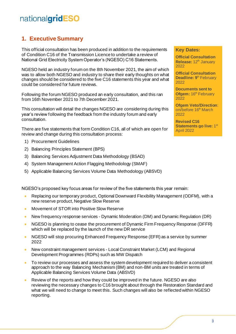# <span id="page-2-0"></span>**1. Executive Summary**

This official consultation has been produced in addition to the requirements of Condition C16 of the Transmission Licence to undertake a review of National Grid Electricity System Operator's (NGESO) C16 Statements.

NGESO held an industry forum on the 8th November 2021, the aim of which was to allow both NGESO and industry to share their early thoughts on what changes should be considered to the five C16 statements this year and what could be considered for future reviews.

Following the forum NGESO produced an early consultation, and this ran from 16th November 2021 to 7th December 2021.

This consultation will detail the changes NGESO are considering during this year's review following the feedback from the industry forum and early consultation.

There are five statements that form Condition C16, all of which are open for review and change during this consultation process:

- 1) Procurement Guidelines
- 2) Balancing Principles Statement (BPS)
- 3) Balancing Services Adjustment Data Methodology (BSAD)
- 4) System Management Action Flagging Methodology (SMAF)
- 5) Applicable Balancing Services Volume Data Methodology (ABSVD)

NGESO's proposed key focus areas for review of the five statements this year remain:

- Replacing our temporary product, Optional Downward Flexibility Management (ODFM), with a new reserve product, Negative Slow Reserve
- Movement of STOR into Positive Slow Reserve
- New frequency response services Dynamic Moderation (DM) and Dynamic Regulation (DR)
- NGESO is planning to cease the procurement of Dynamic Firm Frequency Response (DFFR) which will be replaced by the launch of the new DR service
- NGESO will stop procuring Enhanced Frequency Response (EFR) as a service by summer 2022
- New constraint management services Local Constraint Market (LCM) and Regional Development Programmes (RDPs) such as MW Dispatch
- To review our processes and assess the system development required to deliver a consistent approach to the way Balancing Mechanism (BM) and non-BM units are treated in terms of Applicable Balancing Services Volume Data (ABSVD)
- Review of the reports and how they could be improved in the future. NGESO are also reviewing the necessary changes to C16 brought about through the Restoration Standard and what we will need to change to meet this. Such changes will also be reflected within NGESO reporting.

#### **Key Dates:**

**Official Consultation Release:** 12<sup>th</sup> January 2022

**Official Consultation Deadline: 9<sup>th</sup> February** 2022

**Documents sent to Ofgem:** 16<sup>th</sup> February 2022

**Ofgem Veto/Direction**: on/before 16<sup>th</sup> March 2022

**Revised C16**  Statements go live: 1st April 2022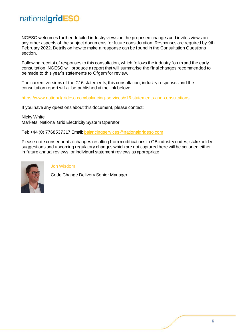NGESO welcomes further detailed industry views on the proposed changes and invites views on any other aspects of the subject documents for future consideration. Responses are required by 9th February 2022. Details on how to make a response can be found in the Consultation Questions section.

Following receipt of responses to this consultation, which follows the industry forum and the early consultation, NGESO will produce a report that will summarise the final changes recommended to be made to this year's statements to Ofgem for review.

The current versions of the C16 statements, this consultation, industry responses and the consultation report will all be published at the link below:

<https://www.nationalgrideso.com/balancing-services/c16-statements-and-consultations>

If you have any questions about this document, please contact:

Nicky White Markets, National Grid Electricity System Operator

Tel: +44 (0) 7768537317 Email[: balancingservices@nationalgrideso.com](mailto:balancingservices@nationalgrideso.com)

Please note consequential changes resulting from modifications to GB industry codes, stake holder suggestions and upcoming regulatory changes which are not captured here will be actioned either in future annual reviews, or individual statement reviews as appropriate.



Jon Wisdom

Code Change Delivery Senior Manager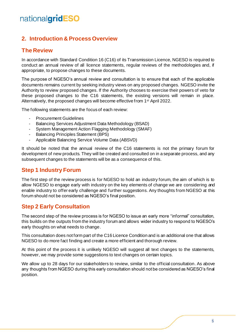# <span id="page-4-0"></span>**2. Introduction & Process Overview**

### <span id="page-4-1"></span>**The Review**

In accordance with Standard Condition 16 (C16) of its Transmission Licence, NGESO is required to conduct an annual review of all licence statements, regular reviews of the methodologies and, if appropriate, to propose changes to these documents.

The purpose of NGESO's annual review and consultation is to ensure that each of the applicable documents remains current by seeking industry views on any proposed changes. NGESO invite the Authority to review proposed changes. If the Authority chooses to exercise their powers of veto for these proposed changes to the C16 statements, the existing versions will remain in place. Alternatively, the proposed changes will become effective from 1<sup>st</sup> April 2022.

The following statements are the focus of each review:

- **Procurement Guidelines**
- Balancing Services Adjustment Data Methodology (BSAD)
- System Management Action Flagging Methodology (SMAF)
- Balancing Principles Statement (BPS)
- Applicable Balancing Service Volume Data (ABSVD)

It should be noted that the annual review of the C16 statements is not the primary forum for development of new products. They will be created and consulted on in a separate process, and any subsequent changes to the statements will be as a consequence of this.

### <span id="page-4-2"></span>**Step 1 Industry Forum**

The first step of the review process is for NGESO to hold an industry forum, the aim of which is to allow NGESO to engage early with industry on the key elements of change we are considering and enable industry to offer early challenge and further suggestions. Any thoughts from NGESO at this forum should not be considered as NGESO's final position.

# <span id="page-4-3"></span>**Step 2 Early Consultation**

The second step of the review process is for NGESO to issue an early more "informal" consultation, this builds on the outputs from the industry forum and allows wider industry to respond to NGESO's early thoughts on what needs to change.

This consultation does not form part of the C16 Licence Condition and is an additional one that allows NGESO to do more fact finding and create a more efficient and thorough review.

At this point of the process it is unlikely NGESO will suggest all text changes to the statements, however, we may provide some suggestions to text changes on certain topics.

We allow up to 28 days for our stakeholders to review, similar to the official consultation. As above any thoughts from NGESO during this early consultation should not be considered as NGESO's final position.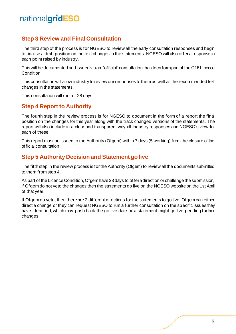# <span id="page-5-0"></span>**Step 3 Review and Final Consultation**

The third step of the process is for NGESO to review all the early consultation responses and begin to finalise a draft position on the text changes in the statements. NGESO will also offer a response to each point raised by industry.

This will be documented and issued via an "official" consultation that does form part of the C16 Licence Condition.

This consultation will allow industry to review our responses to them as well as the recommended text changes in the statements.

This consultation will run for 28 days.

# <span id="page-5-1"></span>**Step 4 Report to Authority**

The fourth step in the review process is for NGESO to document in the form of a report the final position on the changes for this year along with the track changed versions of the statements . The report will also include in a clear and transparent way all industry responses and NGESO's view for each of these.

This report must be issued to the Authority (Ofgem) within 7 days (5 working) from the closure of the official consultation.

### <span id="page-5-2"></span>**Step 5 Authority Decision and Statement go live**

The fifth step in the review process is for the Authority (Ofgem) to review all the documents submitted to them from step 4.

As part of the Licence Condition, Ofgem have 28 days to offer a direction or challenge the submission, if Ofgem do not veto the changes then the statements go live on the NGESO website on the 1st April of that year.

If Ofgem do veto, then there are 2 different directions for the statements to go live. Ofgem can either direct a change or they can request NGESO to run a further consultation on the specific issues they have identified, which may push back the go live date or a statement might go live pending further changes.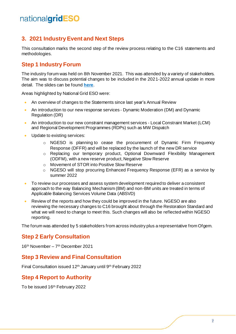# <span id="page-6-0"></span>**3. 2021 Industry Event and Next Steps**

This consultation marks the second step of the review process relating to the C16 statements and methodologies.

### <span id="page-6-1"></span>**Step 1 Industry Forum**

The industry forum was held on 8th November 2021. This was attended by a variety of stakeholders. The aim was to discuss potential changes to be included in the 2021-2022 annual update in more detail. The slides can be found **[here](https://www.nationalgrideso.com/document/221016/download)**.

Areas highlighted by National Grid ESO were:

- An overview of changes to the Statements since last year's Annual Review
- An introduction to our new response services Dynamic Moderation (DM) and Dynamic Regulation (DR)
- An introduction to our new constraint management services Local Constraint Market (LCM) and Regional Development Programmes (RDPs) such as MW Dispatch
- Update to existing services:
	- o NGESO is planning to cease the procurement of Dynamic Firm Frequency Response (DFFR) and will be replaced by the launch of the new DR service
	- o Replacing our temporary product, Optional Downward Flexibility Management (ODFM), with a new reserve product, Negative Slow Reserve
	- o Movement of STOR into Positive Slow Reserve
	- o NGESO will stop procuring Enhanced Frequency Response (EFR) as a service by summer 2022
- To review our processes and assess system development required to deliver a consistent approach to the way Balancing Mechanism (BM) and non-BM units are treated in terms of Applicable Balancing Services Volume Data (ABSVD)
- Review of the reports and how they could be improved in the future. NGESO are also reviewing the necessary changes to C16 brought about through the Restoration Standard and what we will need to change to meet this. Such changes will also be reflected within NGESO reporting.

The forum was attended by 5 stakeholders from across industry plus a representative from Ofgem.

### <span id="page-6-2"></span>**Step 2 Early Consultation**

16 th November – 7 th December 2021

### <span id="page-6-3"></span>**Step 3 Review and Final Consultation**

Final Consultation issued 12<sup>th</sup> January until 9<sup>th</sup> February 2022

### <span id="page-6-4"></span>**Step 4 Report to Authority**

To be issued 16 th February 2022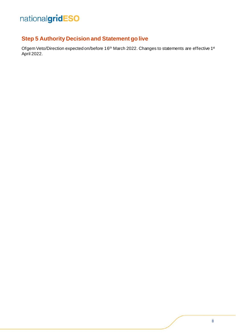# <span id="page-7-0"></span>**Step 5 Authority Decision and Statement go live**

Ofgem Veto/Direction expected on/before 16<sup>th</sup> March 2022. Changes to statements are effective 1st April 2022.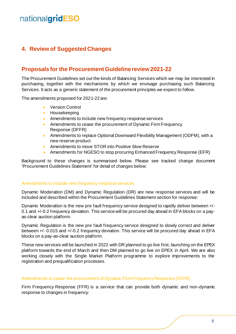# <span id="page-8-0"></span>**4. Review of Suggested Changes**

### <span id="page-8-1"></span>**Proposals for the Procurement Guideline review 2021-22**

The Procurement Guidelines set out the kinds of Balancing Services which we may be interested in purchasing, together with the mechanisms by which we envisage purchasing such Balancing Services. It acts as a generic statement of the procurement principles we expect to follow.

The amendments proposed for 2021-22 are:

- Version Control
- Housekeeping
- Amendments to include new frequency response services
- Amendments to cease the procurement of Dynamic Firm Frequency Response (DFFR)
- Amendments to replace Optional Downward Flexibility Management (ODFM), with a new reserve product
- Amendments to move STOR into Positive Slow Reserve
- Amendments for NGESO to stop procuring Enhanced Frequency Response (EFR)

Background to these changes is summarised below. Please see tracked change document 'Procurement Guidelines Statement' for detail of changes below:

#### Amendments to include new frequency response services

Dynamic Moderation (DM) and Dynamic Regulation (DR) are new response services and will be included and described within the Procurement Guidelines Statement section for response:

Dynamic Moderation is the new pre fault frequency service designed to rapidly deliver between +/- 0.1 and +/-0.2 frequency deviation. This service will be procured day ahead in EFA blocks on a payas-clear auction platform.

Dynamic Regulation is the new pre fault frequency service designed to slowly correct and deliver between +/- 0.015 and +/-0.2 frequency deviation. This service will be procured day ahead in EFA blocks on a pay-as-clear auction platform.

These new services will be launched in 2022 with DR planned to go live first, launching on the EPEX platform towards the end of March and then DM planned to go live on EPEX in April. We are also working closely with the Single Market Platform programme to explore improvements to the registration and prequalification processes.

#### Amendments to cease the procurement of Dynamic Firm Frequency Response (DFFR)

Firm Frequency Response (FFR) is a service that can provide both dynamic and non-dynamic response to changes in frequency: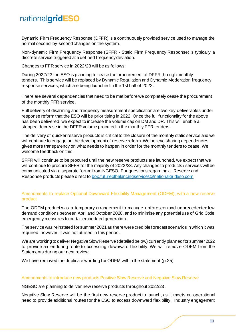Dynamic Firm Frequency Response (DFFR) is a continuously provided service used to manage the normal second-by-second changes on the system.

Non-dynamic Firm Frequency Response (SFFR - Static Firm Frequency Response) is typically a discrete service triggered at a defined frequency deviation.

Changes to FFR service in 2022/23 will be as follows:

During 2022/23 the ESO is planning to cease the procurement of DFFR through monthly tenders. This service will be replaced by Dynamic Regulation and Dynamic Moderation frequency response services, which are being launched in the 1st half of 2022.

There are several dependencies that need to be met before we completely cease the procurement of the monthly FFR service.

Full delivery of disarming and frequency measurement specification are two key deliverables under response reform that the ESO will be prioritising in 2022. Once the full functionality for the above has been delivered, we expect to increase the volume cap on DM and DR. This will enable a stepped decrease in the DFFR volume procured in the monthly FFR tenders.

The delivery of quicker reserve products is critical to the closure of the monthly static service and we will continue to engage on the development of reserve reform. We believe sharing dependencies gives more transparency on what needs to happen in order for the monthly tenders to cease. We welcome feedback on this.

SFFR will continue to be procured until the new reserve products are launched, we expect that we will continue to procure SFFR for the majority of 2022/23. Any changes to products / services will be communicated via a separate forum from NGESO. For questions regarding all Reserve and Response products please direct t[o box.futureofbalancingservices@nationalgrideso.com](mailto:box.futureofbalancingservices@nationalgrideso.com)

#### Amendments to replace Optional Downward Flexibility Management (ODFM), with a new reserve product

The ODFM product was a temporary arrangement to manage unforeseen and unprecedented low demand conditions between April and October 2020, and to minimise any potential use of Grid Code emergency measures to curtail embedded generation.

The service was reinstated for summer 2021 as there were credible forecast scenarios in which it was required, however, it was not utilised in this period.

We are working to deliver Negative Slow Reserve (detailed below) currently planned for summer 2022 to provide an enduring route to accessing downward flexibility. We will remove ODFM from the Statements during our next review.

We have removed the duplicate wording for ODFM within the statement (p.25).

#### Amendments to introduce new products Positive Slow Reserve and Negative Slow Reserve

NGESO are planning to deliver new reserve products throughout 2022/23.

Negative Slow Reserve will be the first new reserve product to launch, as it meets an operational need to provide additional routes for the ESO to access downward flexibility. Industry engagement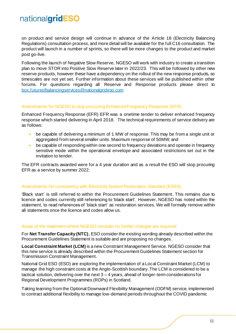on product and service design will continue in advance of the Article 18 (Electricity Balancing Regulations) consultation process, and more detail will be available for the full C16 consultation. The product will launch in a number of sprints, so there will be more changes to the product and market post go-live.

Following the launch of Negative Slow Reserve, NGESO will work with industry to create a transition plan to move STOR into Positive Slow Reserve later in 2022/23. This will be followed by other new reserve products, however these have a dependency on the rollout of the new response products, so timescales are not yet set. Further information about these services will be published within other forums. For questions regarding all Reserve and Response products please direct to [box.futureofbalancingservices@nationalgrideso.com](mailto:box.futureofbalancingservices@nationalgrideso.com)

#### Amendments for NGESO to stop procuring Enhanced Frequency Response (EFR)

Enhanced Frequency Response (EFR) EFR was a onetime tender to deliver enhanced frequency response which started delivering in April 2018. The technical requirements of service delivery are as follows:

- be capable of delivering a minimum of 1 MW of response. This may be from a single unit or aggregated from several smaller units. Maximum response of 50MW; and
- be capable of responding within one second to frequency deviations and operate in frequency sensitive mode within the operational envelope and associated restrictions set out in the invitation to tender.

The EFR contracts awarded were for a 4 year duration and as a result the ESO will stop procuring EFR as a service by summer 2022.

#### Amendments for consistency with Electricity System Restoration Standard (ESRS)

'Black start' is still referred to within the Procurement Guidelines Statement. This remains due to licence and codes currently still referencing to 'black start'. However, NGESO has noted within the statement, to read references of 'black start' as restoration services. We will formally remove within all statements once the licence and codes allow us.

#### Areas of the statement where NGESO consider no further changes are required

For **Net Transfer Capacity (NTC)**, ESO consider the existing wording already described within the Procurement Guidelines Statement is suitable and are proposing no changes.

**Local Constraint Market (LCM)** is a new Constraint Management Service. NGESO consider that this new service is already described within the Procurement Guidelines Statement section for Transmission Constraint Management.

National Grid ESO (ESO) are exploring the implementation of a Local Constraint Market (LCM) to manage the high constraint costs at the Anglo-Scottish boundary. The LCM is considered to be a tactical solution, delivering over the next 3 – 4 years, ahead of longer-term considerations for Regional Development Programmes (RDPs) in Scotland.

Taking learning from the Optional Downward Flexibility Management (ODFM) service, implemented to contract additional flexibility to manage low-demand periods throughout the COVID pandemic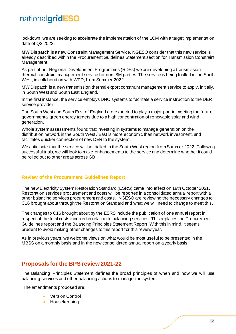lockdown, we are seeking to accelerate the implementation of the LCM with a target implementation date of Q3 2022.

**MW Dispatch** is a new Constraint Management Service. NGESO consider that this new service is already described within the Procurement Guidelines Statement section for Transmission Constraint Management.

As part of our Regional Development Programmes (RDPs) we are developing a transmission thermal constraint management service for non-BM parties. The service is being trialled in the South West, in collaboration with WPD, from Summer 2022.

MW Dispatch is a new transmission thermal export constraint management service to apply, initially, in South West and South East England.

In the first instance, the service employs DNO systems to facilitate a service instruction to the DER service provider.

The South West and South East of England are expected to play a major part in meeting the future governmental green energy targets due to a high concentration of renewable solar and wind generation.

Whole system assessments found that investing in systems to manage generation on the distribution network in the South West / East is more economic than network investment, and facilitates quicker connection of new DER to the system.

We anticipate that the service will be trialled in the South West region from Summer 2022. Following successful trials, we will look to make enhancements to the service and determine whether it could be rolled out to other areas across GB.

#### **Review of the Procurement Guidelines Report**

The new Electricity System Restoration Standard (ESRS) came into effect on 19th October 2021. Restoration services procurement and costs will be reported in a consolidated annual report with all other balancing services procurement and costs. NGESO are reviewing the necessary changes to C16 brought about through the Restoration Standard and what we will need to change to meet this.

The changes to C16 brought about by the ESRS include the publication of one annual report in respect of the total costs incurred in relation to balancing services. This replaces the Procurement Guidelines report and the Balancing Principles Statement Report. With this in mind, it seems prudent to avoid making other changes to this report for this review year.

As in previous years, we welcome views on what would be most useful to be presented in the MBSS on a monthly basis and in the new consolidated annual report on a yearly basis.

### <span id="page-11-0"></span>**Proposals for the BPS review 2021-22**

The Balancing Principles Statement defines the broad principles of when and how we will use balancing services and other balancing actions to manage the system.

The amendments proposed are:

- **Version Control**
- Housekeeping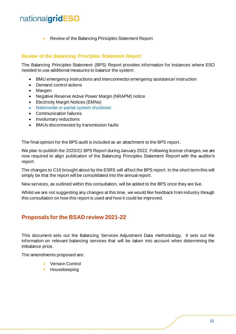• Review of the Balancing Principles Statement Report

#### **Review of the Balancing Principles Statement Report**

The Balancing Principles Statement (BPS) Report provides information for instances where ESO needed to use additional measures to balance the system:

- BMU emergency instructions and interconnector emergency assistance/ instruction
- Demand control actions
- Maxgen
- Negative Reserve Active Power Margin (NRAPM) notice
- Electricity Margin Notices (EMNs)
- [Nationwide or partial system shutdown](https://www.nationalgrideso.com/future-energy/projects/distributed-restart)
- Communication failures
- Involuntary reductions
- BMUs disconnected by transmission faults

The final opinion for the BPS audit is included as an attachment to the BPS report.

We plan to publish the 2020/21 BPS Report during January 2022. Following licence changes, we are now required to align publication of the Balancing Principles Statement Report with the auditor's report.

The changes to C16 brought about by the ESRS will affect the BPS report. In the short term this will simply be that the report will be consolidated into the annual report.

New services, as outlined within this consultation, will be added to the BPS once they are live.

Whilst we are not suggesting any changes at this time, we would like feedback from industry through this consultation on how this report is used and how it could be improved.

### <span id="page-12-0"></span>**Proposals for the BSAD review 2021-22**

This document sets out the Balancing Services Adjustment Data methodology. It sets out the information on relevant balancing services that will be taken into account when determining the imbalance price.

The amendments proposed are:

- Version Control
- Housekeeping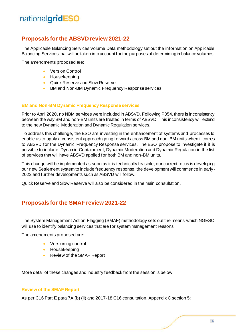# <span id="page-13-0"></span>**Proposals for the ABSVD review 2021-22**

The Applicable Balancing Services Volume Data methodology set out the information on Applicable Balancing Services that will be taken into account for the purposes of determining imbalance volumes.

The amendments proposed are:

- Version Control
- Housekeeping
- Quick Reserve and Slow Reserve
- BM and Non-BM Dynamic Frequency Response services

#### **BM and Non-BM Dynamic Frequency Response services**

Prior to April 2020, no NBM services were included in ABSVD. Following P354, there is inconsistency between the way BM and non-BM units are treated in terms of ABSVD. This inconsistency will extend to the new Dynamic Moderation and Dynamic Regulation services.

To address this challenge, the ESO are investing in the enhancement of systems and processes to enable us to apply a consistent approach going forward across BM and non-BM units when it comes to ABSVD for the Dynamic Frequency Response services. The ESO propose to investigate if it is possible to include, Dynamic Containment, Dynamic Moderation and Dynamic Regulation in the list of services that will have ABSVD applied for both BM and non-BM units.

This change will be implemented as soon as it is technically feasible, our current focus is developing our new Settlement system to include frequency response, the development will commence in early - 2022 and further developments such as ABSVD will follow.

Quick Reserve and Slow Reserve will also be considered in the main consultation.

### <span id="page-13-1"></span>**Proposals for the SMAF review 2021-22**

The System Management Action Flagging (SMAF) methodology sets out the means which NGESO will use to identify balancing services that are for system management reasons.

The amendments proposed are:

- Versioning control
- Housekeeping
- Review of the SMAF Report

More detail of these changes and industry feedback from the session is below:

#### **Review of the SMAF Report**

As per C16 Part E para 7A (b) (ii) and 2017-18 C16 consultation. Appendix C section 5: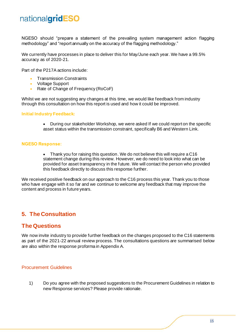NGESO should "prepare a statement of the prevailing system management action flagging methodology" and "report annually on the accuracy of the flagging methodology."

We currently have processes in place to deliver this for May/June each year. We have a 99.5% accuracy as of 2020-21.

Part of the P217A actions include:

- Transmission Constraints
- Voltage Support
- Rate of Change of Frequency (RoCoF)

Whilst we are not suggesting any changes at this time, we would like feedback from industry through this consultation on how this report is used and how it could be improved.

#### **Initial Industry Feedback:**

• During our stakeholder Workshop, we were asked If we could report on the specific asset status within the transmission constraint, specifically B6 and Western Link.

#### **NGESO Response:**

• Thank you for raising this question. We do not believe this will require a C16 statement change during this review. However, we do need to look into what can be provided for asset transparency in the future. We will contact the person who provided this feedback directly to discuss this response further.

We received positive feedback on our approach to the C16 process this year. Thank you to those who have engage with it so far and we continue to welcome any feedback that may improve the content and process in future years.

### <span id="page-14-0"></span>**5. The Consultation**

### <span id="page-14-1"></span>**The Questions**

We now invite industry to provide further feedback on the changes proposed to the C16 statements as part of the 2021-22 annual review process. The consultations questions are summarised below are also within the response proforma in Appendix A.

#### <span id="page-14-2"></span>Procurement Guidelines

1) Do you agree with the proposed suggestions to the Procurement Guidelines in relation to new Response services? Please provide rationale.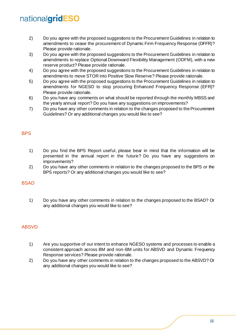- 2) Do you agree with the proposed suggestions to the Procurement Guidelines in relation to amendments to cease the procurement of Dynamic Firm Frequency Response (DFFR)? Please provide rationale.
- 3) Do you agree with the proposed suggestions to the Procurement Guidelines in relation to amendments to replace Optional Downward Flexibility Management (ODFM), with a new reserve product? Please provide rationale.
- 4) Do you agree with the proposed suggestions to the Procurement Guidelines in relation to amendments to move STOR into Positive Slow Reserve? Please provide rationale.
- 5) Do you agree with the proposed suggestions to the Procurement Guidelines in relation to amendments for NGESO to stop procuring Enhanced Frequency Response (EFR)? Please provide rationale.
- 6) Do you have any comments on what should be reported through the monthly MBSS and the yearly annual report? Do you have any suggestions on improvements?
- 7) Do you have any other comments in relation to the changes proposed to the Procurement Guidelines? Or any additional changes you would like to see?

### <span id="page-15-0"></span>**BPS**

- 1) Do you find the BPS Report useful, please bear in mind that the information will be presented in the annual report in the future? Do you have any suggestions on improvements?
- 2) Do you have any other comments in relation to the changes proposed to the BPS or the BPS reports? Or any additional changes you would like to see?

#### <span id="page-15-1"></span>BSAD

1) Do you have any other comments in relation to the changes proposed to the BSAD? Or any additional changes you would like to see?

#### <span id="page-15-2"></span>ABSVD

- 1) Are you supportive of our intent to enhance NGESO systems and processes to enable a consistent approach across BM and non-BM units for ABSVD and Dynamic Frequency Response services? Please provide rationale.
- 2) Do you have any other comments in relation to the changes proposed to the ABSVD? Or any additional changes you would like to see?